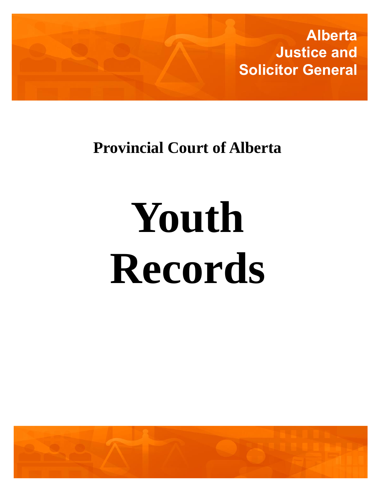

# **Provincial Court of Alberta**

# **Youth Records**

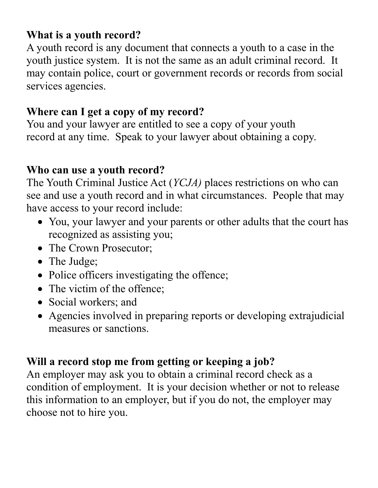#### **What is a youth record?**

A youth record is any document that connects a youth to a case in the youth justice system. It is not the same as an adult criminal record. It may contain police, court or government records or records from social services agencies.

#### **Where can I get a copy of my record?**

You and your lawyer are entitled to see a copy of your youth record at any time. Speak to your lawyer about obtaining a copy.

#### **Who can use a youth record?**

The Youth Criminal Justice Act (*YCJA)* places restrictions on who can see and use a youth record and in what circumstances. People that may have access to your record include:

- You, your lawyer and your parents or other adults that the court has recognized as assisting you;
- The Crown Prosecutor;
- The Judge;
- Police officers investigating the offence;
- The victim of the offence:
- Social workers; and
- Agencies involved in preparing reports or developing extrajudicial measures or sanctions.

#### **Will a record stop me from getting or keeping a job?**

An employer may ask you to obtain a criminal record check as a condition of employment. It is your decision whether or not to release this information to an employer, but if you do not, the employer may choose not to hire you.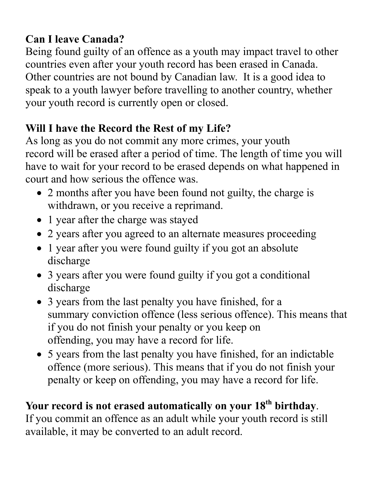### **Can I leave Canada?**

Being found guilty of an offence as a youth may impact travel to other countries even after your youth record has been erased in Canada. Other countries are not bound by Canadian law. It is a good idea to speak to a youth lawyer before travelling to another country, whether your youth record is currently open or closed.

# **Will I have the Record the Rest of my Life?**

As long as you do not commit any more crimes, your youth record will be erased after a period of time. The length of time you will have to wait for your record to be erased depends on what happened in court and how serious the offence was.

- 2 months after you have been found not guilty, the charge is withdrawn, or you receive a reprimand.
- 1 year after the charge was stayed
- 2 years after you agreed to an alternate measures proceeding
- 1 year after you were found guilty if you got an absolute discharge
- 3 years after you were found guilty if you got a conditional discharge
- 3 years from the last penalty you have finished, for a summary conviction offence (less serious offence). This means that if you do not finish your penalty or you keep on offending, you may have a record for life.
- 5 years from the last penalty you have finished, for an indictable offence (more serious). This means that if you do not finish your penalty or keep on offending, you may have a record for life.

## **Your record is not erased automatically on your 18th birthday**.

If you commit an offence as an adult while your youth record is still available, it may be converted to an adult record.